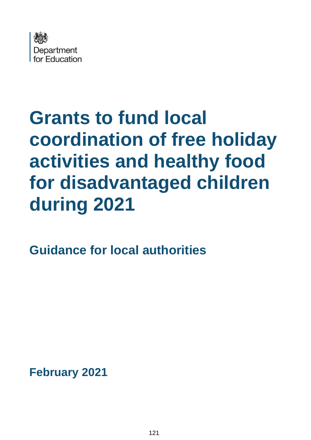

# **Grants to fund local coordination of free holiday activities and healthy food for disadvantaged children during 2021**

**Guidance for local authorities**

**February 2021**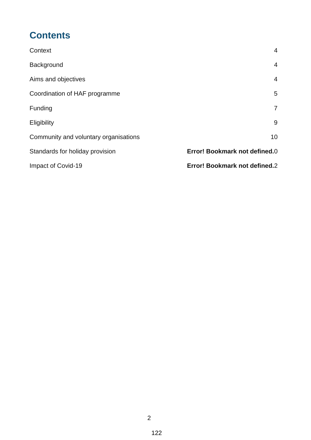### **Contents**

| Context                               | 4                             |
|---------------------------------------|-------------------------------|
| Background                            | $\overline{4}$                |
| Aims and objectives                   | $\overline{4}$                |
| Coordination of HAF programme         | 5                             |
| Funding                               | $\overline{7}$                |
| Eligibility                           | 9                             |
| Community and voluntary organisations | 10                            |
| Standards for holiday provision       | Error! Bookmark not defined.0 |
| Impact of Covid-19                    | Error! Bookmark not defined.2 |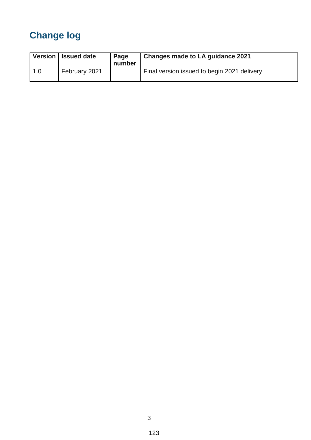## **Change log**

|     | Version   Issued date | Page<br>number | Changes made to LA guidance 2021            |
|-----|-----------------------|----------------|---------------------------------------------|
| 1.0 | February 2021         |                | Final version issued to begin 2021 delivery |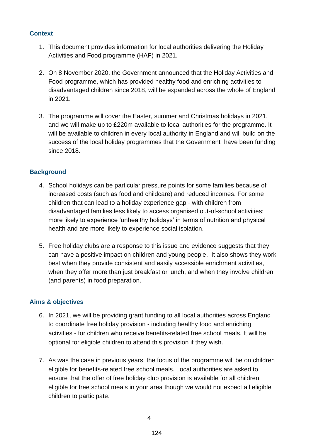#### **Context**

- 1. This document provides information for local authorities delivering the Holiday Activities and Food programme (HAF) in 2021.
- 2. On 8 November 2020, the Government announced that the Holiday Activities and Food programme, which has provided healthy food and enriching activities to disadvantaged children since 2018, will be expanded across the whole of England in 2021.
- 3. The programme will cover the Easter, summer and Christmas holidays in 2021, and we will make up to £220m available to local authorities for the programme. It will be available to children in every local authority in England and will build on the success of the local holiday programmes that the Government have been funding since 2018.

#### <span id="page-3-0"></span>**Background**

- 4. School holidays can be particular pressure points for some families because of increased costs (such as food and childcare) and reduced incomes. For some children that can lead to a holiday experience gap - with children from disadvantaged families less likely to access organised out-of-school activities; more likely to experience 'unhealthy holidays' in terms of nutrition and physical health and are more likely to experience social isolation.
- 5. Free holiday clubs are a response to this issue and evidence suggests that they can have a positive impact on children and young people. It also shows they work best when they provide consistent and easily accessible enrichment activities, when they offer more than just breakfast or lunch, and when they involve children (and parents) in food preparation.

#### **Aims & objectives**

- 6. In 2021, we will be providing grant funding to all local authorities across England to coordinate free holiday provision - including healthy food and enriching activities - for children who receive benefits-related free school meals. It will be optional for eligible children to attend this provision if they wish.
- 7. As was the case in previous years, the focus of the programme will be on children eligible for benefits-related free school meals. Local authorities are asked to ensure that the offer of free holiday club provision is available for all children eligible for free school meals in your area though we would not expect all eligible children to participate.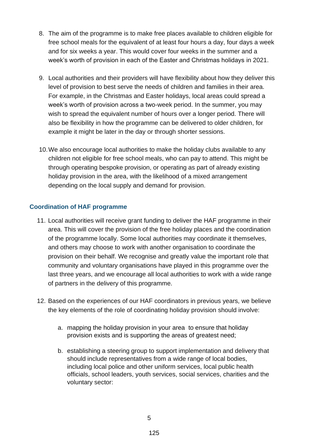- 8. The aim of the programme is to make free places available to children eligible for free school meals for the equivalent of at least four hours a day, four days a week and for six weeks a year. This would cover four weeks in the summer and a week's worth of provision in each of the Easter and Christmas holidays in 2021.
- 9. Local authorities and their providers will have flexibility about how they deliver this level of provision to best serve the needs of children and families in their area. For example, in the Christmas and Easter holidays, local areas could spread a week's worth of provision across a two-week period. In the summer, you may wish to spread the equivalent number of hours over a longer period. There will also be flexibility in how the programme can be delivered to older children, for example it might be later in the day or through shorter sessions.
- 10.We also encourage local authorities to make the holiday clubs available to any children not eligible for free school meals, who can pay to attend. This might be through operating bespoke provision, or operating as part of already existing holiday provision in the area, with the likelihood of a mixed arrangement depending on the local supply and demand for provision.

#### **Coordination of HAF programme**

- 11. Local authorities will receive grant funding to deliver the HAF programme in their area. This will cover the provision of the free holiday places and the coordination of the programme locally. Some local authorities may coordinate it themselves, and others may choose to work with another organisation to coordinate the provision on their behalf. We recognise and greatly value the important role that community and voluntary organisations have played in this programme over the last three years, and we encourage all local authorities to work with a wide range of partners in the delivery of this programme.
- 12. Based on the experiences of our HAF coordinators in previous years, we believe the key elements of the role of coordinating holiday provision should involve:
	- a. mapping the holiday provision in your area to ensure that holiday provision exists and is supporting the areas of greatest need;
	- b. establishing a steering group to support implementation and delivery that should include representatives from a wide range of local bodies, including local police and other uniform services, local public health officials, school leaders, youth services, social services, charities and the voluntary sector: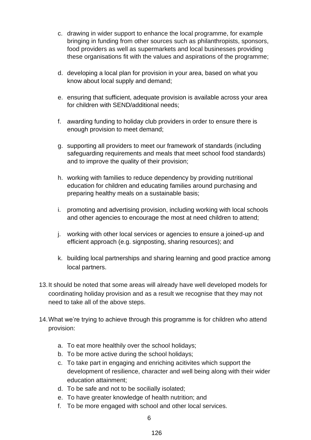- c. drawing in wider support to enhance the local programme, for example bringing in funding from other sources such as philanthropists, sponsors, food providers as well as supermarkets and local businesses providing these organisations fit with the values and aspirations of the programme;
- d. developing a local plan for provision in your area, based on what you know about local supply and demand;
- e. ensuring that sufficient, adequate provision is available across your area for children with SEND/additional needs;
- f. awarding funding to holiday club providers in order to ensure there is enough provision to meet demand;
- g. supporting all providers to meet our framework of standards (including safeguarding requirements and meals that meet school food standards) and to improve the quality of their provision;
- h. working with families to reduce dependency by providing nutritional education for children and educating families around purchasing and preparing healthy meals on a sustainable basis;
- i. promoting and advertising provision, including working with local schools and other agencies to encourage the most at need children to attend;
- j. working with other local services or agencies to ensure a joined-up and efficient approach (e.g. signposting, sharing resources); and
- k. building local partnerships and sharing learning and good practice among local partners.
- 13.It should be noted that some areas will already have well developed models for coordinating holiday provision and as a result we recognise that they may not need to take all of the above steps.
- 14.What we're trying to achieve through this programme is for children who attend provision:
	- a. To eat more healthily over the school holidays;
	- b. To be more active during the school holidays;
	- c. To take part in engaging and enriching acitivites which support the development of resilience, character and well being along with their wider education attainment;
	- d. To be safe and not to be socilially isolated;
	- e. To have greater knowledge of health nutrition; and
	- f. To be more engaged with school and other local services.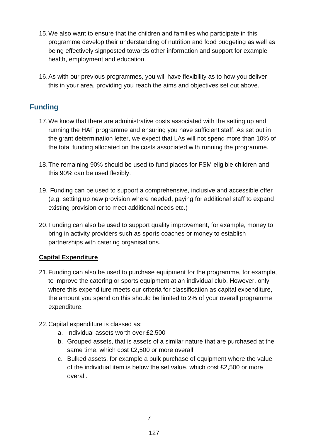- 15.We also want to ensure that the children and families who participate in this programme develop their understanding of nutrition and food budgeting as well as being effectively signposted towards other information and support for example health, employment and education.
- 16.As with our previous programmes, you will have flexibility as to how you deliver this in your area, providing you reach the aims and objectives set out above.

#### **Funding**

- 17.We know that there are administrative costs associated with the setting up and running the HAF programme and ensuring you have sufficient staff. As set out in the grant determination letter, we expect that LAs will not spend more than 10% of the total funding allocated on the costs associated with running the programme.
- 18.The remaining 90% should be used to fund places for FSM eligible children and this 90% can be used flexibly.
- 19. Funding can be used to support a comprehensive, inclusive and accessible offer (e.g. setting up new provision where needed, paying for additional staff to expand existing provision or to meet additional needs etc.)
- 20.Funding can also be used to support quality improvement, for example, money to bring in activity providers such as sports coaches or money to establish partnerships with catering organisations.

#### **Capital Expenditure**

- 21.Funding can also be used to purchase equipment for the programme, for example, to improve the catering or sports equipment at an individual club. However, only where this expenditure meets our criteria for classification as capital expenditure, the amount you spend on this should be limited to 2% of your overall programme expenditure.
- 22.Capital expenditure is classed as:
	- a. Individual assets worth over £2,500
	- b. Grouped assets, that is assets of a similar nature that are purchased at the same time, which cost £2,500 or more overall
	- c. Bulked assets, for example a bulk purchase of equipment where the value of the individual item is below the set value, which cost £2,500 or more overall.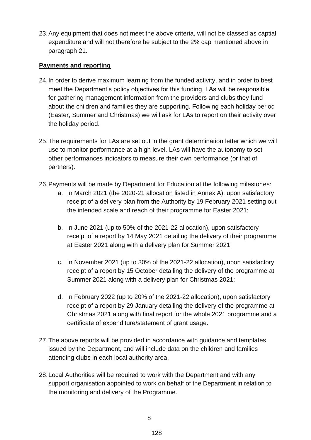23.Any equipment that does not meet the above criteria, will not be classed as captial expenditure and will not therefore be subject to the 2% cap mentioned above in paragraph 21.

#### **Payments and reporting**

- 24.In order to derive maximum learning from the funded activity, and in order to best meet the Department's policy objectives for this funding, LAs will be responsible for gathering management information from the providers and clubs they fund about the children and families they are supporting. Following each holiday period (Easter, Summer and Christmas) we will ask for LAs to report on their activity over the holiday period.
- 25.The requirements for LAs are set out in the grant determination letter which we will use to monitor performance at a high level. LAs will have the autonomy to set other performances indicators to measure their own performance (or that of partners).
- 26.Payments will be made by Department for Education at the following milestones:
	- a. In March 2021 (the 2020-21 allocation listed in Annex A), upon satisfactory receipt of a delivery plan from the Authority by 19 February 2021 setting out the intended scale and reach of their programme for Easter 2021;
	- b. In June 2021 (up to 50% of the 2021-22 allocation), upon satisfactory receipt of a report by 14 May 2021 detailing the delivery of their programme at Easter 2021 along with a delivery plan for Summer 2021;
	- c. In November 2021 (up to 30% of the 2021-22 allocation), upon satisfactory receipt of a report by 15 October detailing the delivery of the programme at Summer 2021 along with a delivery plan for Christmas 2021;
	- d. In February 2022 (up to 20% of the 2021-22 allocation), upon satisfactory receipt of a report by 29 January detailing the delivery of the programme at Christmas 2021 along with final report for the whole 2021 programme and a certificate of expenditure/statement of grant usage.
- 27.The above reports will be provided in accordance with guidance and templates issued by the Department, and will include data on the children and families attending clubs in each local authority area.
- 28.Local Authorities will be required to work with the Department and with any support organisation appointed to work on behalf of the Department in relation to the monitoring and delivery of the Programme.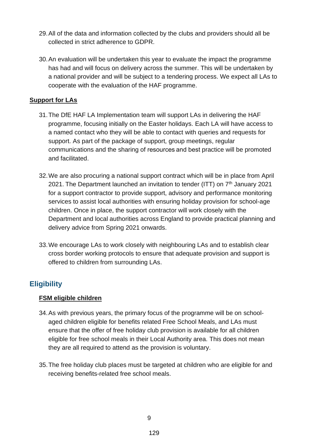- 29.All of the data and information collected by the clubs and providers should all be collected in strict adherence to GDPR.
- 30.An evaluation will be undertaken this year to evaluate the impact the programme has had and will focus on delivery across the summer. This will be undertaken by a national provider and will be subject to a tendering process. We expect all LAs to cooperate with the evaluation of the HAF programme.

#### **Support for LAs**

- 31.The DfE HAF LA Implementation team will support LAs in delivering the HAF programme, focusing initially on the Easter holidays. Each LA will have access to a named contact who they will be able to contact with queries and requests for support. As part of the package of support, group meetings, regular communications and the sharing of resources and best practice will be promoted and facilitated.
- 32.We are also procuring a national support contract which will be in place from April 2021. The Department launched an invitation to tender (ITT) on 7<sup>th</sup> January 2021 for a support contractor to provide support, advisory and performance monitoring services to assist local authorities with ensuring holiday provision for school-age children. Once in place, the support contractor will work closely with the Department and local authorities across England to provide practical planning and delivery advice from Spring 2021 onwards.
- 33.We encourage LAs to work closely with neighbouring LAs and to establish clear cross border working protocols to ensure that adequate provision and support is offered to children from surrounding LAs.

#### **Eligibility**

#### **FSM eligible children**

- 34.As with previous years, the primary focus of the programme will be on schoolaged children eligible for benefits related Free School Meals, and LAs must ensure that the offer of free holiday club provision is available for all children eligible for free school meals in their Local Authority area. This does not mean they are all required to attend as the provision is voluntary.
- 35.The free holiday club places must be targeted at children who are eligible for and receiving benefits-related free school meals.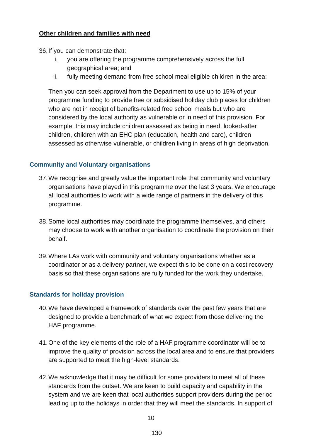#### **Other children and families with need**

36.If you can demonstrate that:

- i. you are offering the programme comprehensively across the full geographical area; and
- ii. fully meeting demand from free school meal eligible children in the area:

Then you can seek approval from the Department to use up to 15% of your programme funding to provide free or subsidised holiday club places for children who are not in receipt of benefits-related free school meals but who are considered by the local authority as vulnerable or in need of this provision. For example, this may include children assessed as being in need, looked-after children, children with an EHC plan (education, health and care), children assessed as otherwise vulnerable, or children living in areas of high deprivation.

#### **Community and Voluntary organisations**

- 37.We recognise and greatly value the important role that community and voluntary organisations have played in this programme over the last 3 years. We encourage all local authorities to work with a wide range of partners in the delivery of this programme.
- 38.Some local authorities may coordinate the programme themselves, and others may choose to work with another organisation to coordinate the provision on their behalf.
- 39.Where LAs work with community and voluntary organisations whether as a coordinator or as a delivery partner, we expect this to be done on a cost recovery basis so that these organisations are fully funded for the work they undertake.

#### **Standards for holiday provision**

- 40.We have developed a framework of standards over the past few years that are designed to provide a benchmark of what we expect from those delivering the HAF programme.
- 41.One of the key elements of the role of a HAF programme coordinator will be to improve the quality of provision across the local area and to ensure that providers are supported to meet the high-level standards.
- 42.We acknowledge that it may be difficult for some providers to meet all of these standards from the outset. We are keen to build capacity and capability in the system and we are keen that local authorities support providers during the period leading up to the holidays in order that they will meet the standards. In support of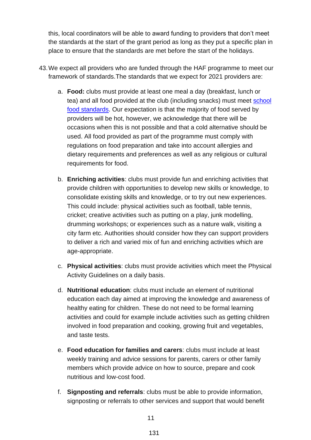this, local coordinators will be able to award funding to providers that don't meet the standards at the start of the grant period as long as they put a specific plan in place to ensure that the standards are met before the start of the holidays.

- 43.We expect all providers who are funded through the HAF programme to meet our framework of standards.The standards that we expect for 2021 providers are:
	- a. **Food:** clubs must provide at least one meal a day (breakfast, lunch or tea) and all food provided at the club (including snacks) must meet [school](http://www.schoolfoodplan.com/actions/school-food-standards/)  [food standards.](http://www.schoolfoodplan.com/actions/school-food-standards/) Our expectation is that the majority of food served by providers will be hot, however, we acknowledge that there will be occasions when this is not possible and that a cold alternative should be used. All food provided as part of the programme must comply with regulations on food preparation and take into account allergies and dietary requirements and preferences as well as any religious or cultural requirements for food.
	- b. **Enriching activities**: clubs must provide fun and enriching activities that provide children with opportunities to develop new skills or knowledge, to consolidate existing skills and knowledge, or to try out new experiences. This could include: physical activities such as football, table tennis, cricket; creative activities such as putting on a play, junk modelling, drumming workshops; or experiences such as a nature walk, visiting a city farm etc. Authorities should consider how they can support providers to deliver a rich and varied mix of fun and enriching activities which are age-appropriate.
	- c. **Physical activities**: clubs must provide activities which meet the Physical Activity Guidelines on a daily basis.
	- d. **Nutritional education**: clubs must include an element of nutritional education each day aimed at improving the knowledge and awareness of healthy eating for children. These do not need to be formal learning activities and could for example include activities such as getting children involved in food preparation and cooking, growing fruit and vegetables, and taste tests.
	- e. **Food education for families and carers**: clubs must include at least weekly training and advice sessions for parents, carers or other family members which provide advice on how to source, prepare and cook nutritious and low-cost food.
	- f. **Signposting and referrals**: clubs must be able to provide information, signposting or referrals to other services and support that would benefit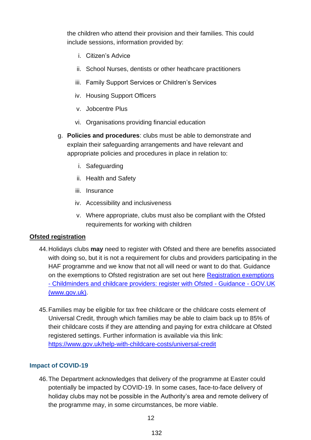the children who attend their provision and their families. This could include sessions, information provided by:

- i. Citizen's Advice
- ii. School Nurses, dentists or other heathcare practitioners
- iii. Family Support Services or Children's Services
- iv. Housing Support Officers
- v. Jobcentre Plus
- vi. Organisations providing financial education
- g. **Policies and procedures**: clubs must be able to demonstrate and explain their safeguarding arrangements and have relevant and appropriate policies and procedures in place in relation to:
	- i. Safeguarding
	- ii. Health and Safety
	- iii. Insurance
	- iv. Accessibility and inclusiveness
	- v. Where appropriate, clubs must also be compliant with the Ofsted requirements for working with children

#### **Ofsted registration**

- 44.Holidays clubs **may** need to register with Ofsted and there are benefits associated with doing so, but it is not a requirement for clubs and providers participating in the HAF programme and we know that not all will need or want to do that. Guidance on the exemptions to Ofsted registration are set out here [Registration exemptions](https://www.gov.uk/guidance/childminders-and-childcare-providers-register-with-ofsted/registration-exemptions)  - [Childminders and childcare providers: register with Ofsted -](https://www.gov.uk/guidance/childminders-and-childcare-providers-register-with-ofsted/registration-exemptions) Guidance - GOV.UK [\(www.gov.uk\).](https://www.gov.uk/guidance/childminders-and-childcare-providers-register-with-ofsted/registration-exemptions)
- 45.Families may be eligible for tax free childcare or the childcare costs element of Universal Credit, through which families may be able to claim back up to 85% of their childcare costs if they are attending and paying for extra childcare at Ofsted registered settings. Further information is available via this link: <https://www.gov.uk/help-with-childcare-costs/universal-credit>

#### **Impact of COVID-19**

46.The Department acknowledges that delivery of the programme at Easter could potentially be impacted by COVID-19. In some cases, face-to-face delivery of holiday clubs may not be possible in the Authority's area and remote delivery of the programme may, in some circumstances, be more viable.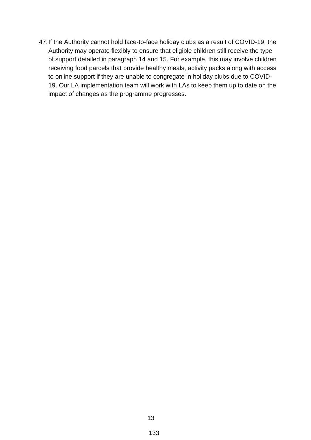47.If the Authority cannot hold face-to-face holiday clubs as a result of COVID-19, the Authority may operate flexibly to ensure that eligible children still receive the type of support detailed in paragraph 14 and 15. For example, this may involve children receiving food parcels that provide healthy meals, activity packs along with access to online support if they are unable to congregate in holiday clubs due to COVID-19. Our LA implementation team will work with LAs to keep them up to date on the impact of changes as the programme progresses.